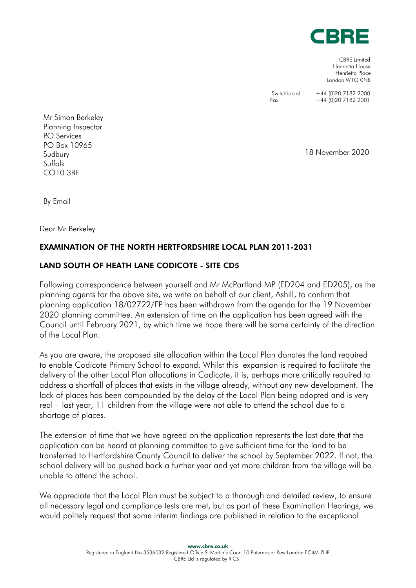

CBRE Limited Henrietta House Henrietta Place London W1G 0NB

Switchboard +44 (0)20 7182 2000<br>Fax +44 (0)20 7182 2001  $+44$  (0)20 7182 2001

Mr Simon Berkeley Planning Inspector PO Services PO Box 10965 Sudbury Suffolk CO10 3BF

18 November 2020

By Email

Dear Mr Berkeley

## EXAMINATION OF THE NORTH HERTFORDSHIRE LOCAL PLAN 2011-2031

## LAND SOUTH OF HEATH LANE CODICOTE - SITE CD5

Following correspondence between yourself and Mr McPartland MP (ED204 and ED205), as the planning agents for the above site, we write on behalf of our client, Ashill, to confirm that planning application 18/02722/FP has been withdrawn from the agenda for the 19 November 2020 planning committee. An extension of time on the application has been agreed with the Council until February 2021, by which time we hope there will be some certainty of the direction of the Local Plan.

As you are aware, the proposed site allocation within the Local Plan donates the land required to enable Codicote Primary School to expand. Whilst this expansion is required to facilitate the delivery of the other Local Plan allocations in Codicote, it is, perhaps more critically required to address a shortfall of places that exists in the village already, without any new development. The lack of places has been compounded by the delay of the Local Plan being adopted and is very real – last year, 11 children from the village were not able to attend the school due to a shortage of places.

The extension of time that we have agreed on the application represents the last date that the application can be heard at planning committee to give sufficient time for the land to be transferred to Hertfordshire County Council to deliver the school by September 2022. If not, the school delivery will be pushed back a further year and yet more children from the village will be unable to attend the school.

We appreciate that the Local Plan must be subject to a thorough and detailed review, to ensure all necessary legal and compliance tests are met, but as part of these Examination Hearings, we would politely request that some interim findings are published in relation to the exceptional